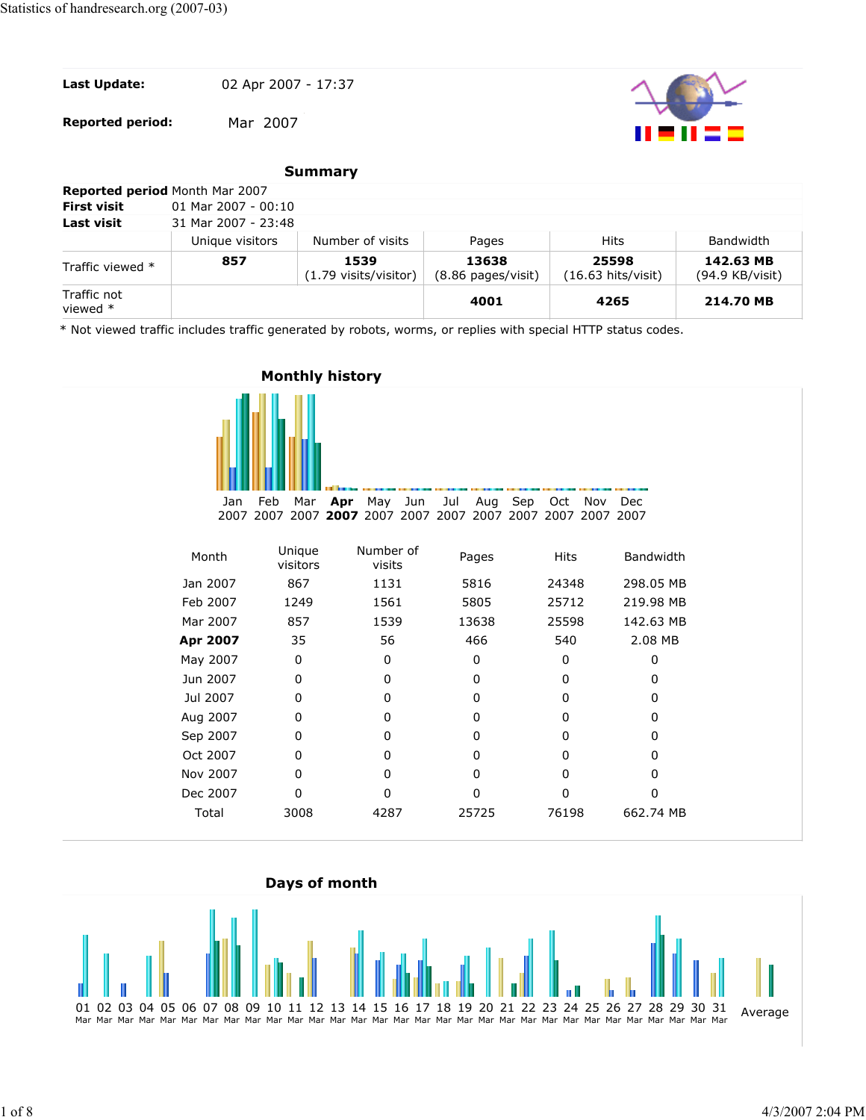**Last Update:** 02 Apr 2007 - 17:37

**Reported period:** Mar 2007



#### **Summary**

|                           | Reported period Month Mar 2007 |                                                |                                       |                                       |                              |  |  |  |
|---------------------------|--------------------------------|------------------------------------------------|---------------------------------------|---------------------------------------|------------------------------|--|--|--|
| <b>First visit</b>        | $01$ Mar 2007 - 00:10          |                                                |                                       |                                       |                              |  |  |  |
| Last visit                | 31 Mar 2007 - 23:48            |                                                |                                       |                                       |                              |  |  |  |
|                           | Unique visitors                | Number of visits                               | Pages                                 | Hits                                  | Bandwidth                    |  |  |  |
| Traffic viewed *          | 857                            | 1539<br>$(1.79 \text{ visits}/\text{visitor})$ | 13638<br>$(8.86 \text{ pages/visit})$ | 25598<br>$(16.63 \text{ hits/visit})$ | 142.63 MB<br>(94.9 KB/visit) |  |  |  |
| Traffic not<br>viewed $*$ |                                |                                                | 4001                                  | 4265                                  | 214.70 MB                    |  |  |  |

\* Not viewed traffic includes traffic generated by robots, worms, or replies with special HTTP status codes.



2007 2007 2007 **2007** 2007 2007 2007 2007 2007 2007 2007 2007

| Month    | Unique<br>visitors | Number of<br>visits | Pages | <b>Hits</b> | <b>Bandwidth</b> |  |
|----------|--------------------|---------------------|-------|-------------|------------------|--|
| Jan 2007 | 867                | 1131                | 5816  | 24348       | 298.05 MB        |  |
| Feb 2007 | 1249               | 1561                | 5805  | 25712       | 219.98 MB        |  |
| Mar 2007 | 857                | 1539                | 13638 | 25598       | 142.63 MB        |  |
| Apr 2007 | 35                 | 56                  | 466   | 540         | 2.08 MB          |  |
| May 2007 | 0                  | 0                   | 0     | 0           | 0                |  |
| Jun 2007 | 0                  | $\Omega$            | 0     | 0           | 0                |  |
| Jul 2007 | 0                  | 0                   | 0     | O           | 0                |  |
| Aug 2007 | 0                  | $\Omega$            | 0     | 0           | 0                |  |
| Sep 2007 | 0                  | 0                   | 0     | O           | <sup>0</sup>     |  |
| Oct 2007 | $\Omega$           | 0                   | 0     | 0           | 0                |  |
| Nov 2007 | $\Omega$           | <sup>0</sup>        | ŋ     | ŋ           | n                |  |
| Dec 2007 | 0                  | 0                   | O     | O           | 0                |  |
| Total    | 3008               | 4287                | 25725 | 76198       | 662.74 MB        |  |

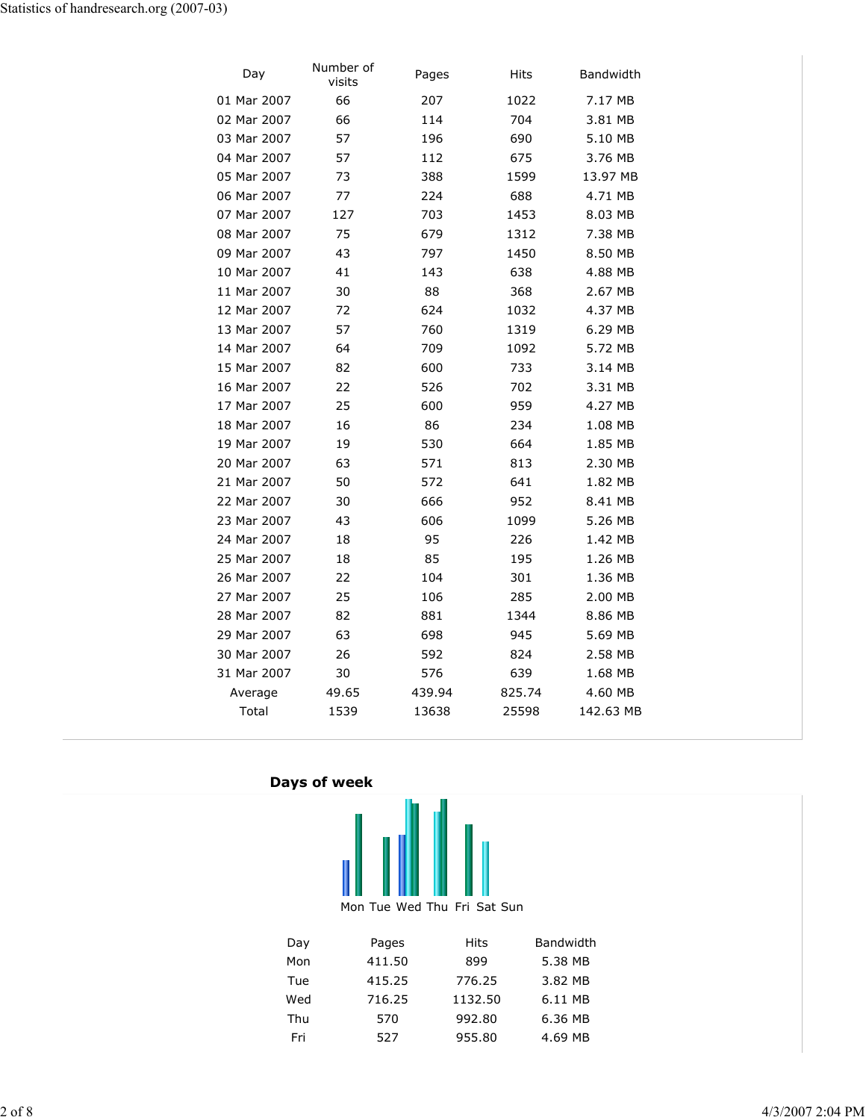| Day         | Number of<br>visits | Pages  | Hits   | Bandwidth |
|-------------|---------------------|--------|--------|-----------|
| 01 Mar 2007 | 66                  | 207    | 1022   | 7.17 MB   |
| 02 Mar 2007 | 66                  | 114    | 704    | 3.81 MB   |
| 03 Mar 2007 | 57                  | 196    | 690    | 5.10 MB   |
| 04 Mar 2007 | 57                  | 112    | 675    | 3.76 MB   |
| 05 Mar 2007 | 73                  | 388    | 1599   | 13.97 MB  |
| 06 Mar 2007 | 77                  | 224    | 688    | 4.71 MB   |
| 07 Mar 2007 | 127                 | 703    | 1453   | 8.03 MB   |
| 08 Mar 2007 | 75                  | 679    | 1312   | 7.38 MB   |
| 09 Mar 2007 | 43                  | 797    | 1450   | 8.50 MB   |
| 10 Mar 2007 | 41                  | 143    | 638    | 4.88 MB   |
| 11 Mar 2007 | 30                  | 88     | 368    | 2.67 MB   |
| 12 Mar 2007 | 72                  | 624    | 1032   | 4.37 MB   |
| 13 Mar 2007 | 57                  | 760    | 1319   | 6.29 MB   |
| 14 Mar 2007 | 64                  | 709    | 1092   | 5.72 MB   |
| 15 Mar 2007 | 82                  | 600    | 733    | 3.14 MB   |
| 16 Mar 2007 | 22                  | 526    | 702    | 3.31 MB   |
| 17 Mar 2007 | 25                  | 600    | 959    | 4.27 MB   |
| 18 Mar 2007 | 16                  | 86     | 234    | 1.08 MB   |
| 19 Mar 2007 | 19                  | 530    | 664    | 1.85 MB   |
| 20 Mar 2007 | 63                  | 571    | 813    | 2.30 MB   |
| 21 Mar 2007 | 50                  | 572    | 641    | 1.82 MB   |
| 22 Mar 2007 | 30                  | 666    | 952    | 8.41 MB   |
| 23 Mar 2007 | 43                  | 606    | 1099   | 5.26 MB   |
| 24 Mar 2007 | 18                  | 95     | 226    | 1.42 MB   |
| 25 Mar 2007 | 18                  | 85     | 195    | 1.26 MB   |
| 26 Mar 2007 | 22                  | 104    | 301    | 1.36 MB   |
| 27 Mar 2007 | 25                  | 106    | 285    | 2.00 MB   |
| 28 Mar 2007 | 82                  | 881    | 1344   | 8.86 MB   |
| 29 Mar 2007 | 63                  | 698    | 945    | 5.69 MB   |
| 30 Mar 2007 | 26                  | 592    | 824    | 2.58 MB   |
| 31 Mar 2007 | 30                  | 576    | 639    | 1.68 MB   |
| Average     | 49.65               | 439.94 | 825.74 | 4.60 MB   |
| Total       | 1539                | 13638  | 25598  | 142.63 MB |





| Pages  | Hits    | Bandwidth |
|--------|---------|-----------|
| 411.50 | 899     | 5.38 MB   |
| 415.25 | 776.25  | 3.82 MB   |
| 716.25 | 1132.50 | 6.11 MB   |
| 570    | 992.80  | 6.36 MB   |
| 527    | 955.80  | 4.69 MB   |
|        |         |           |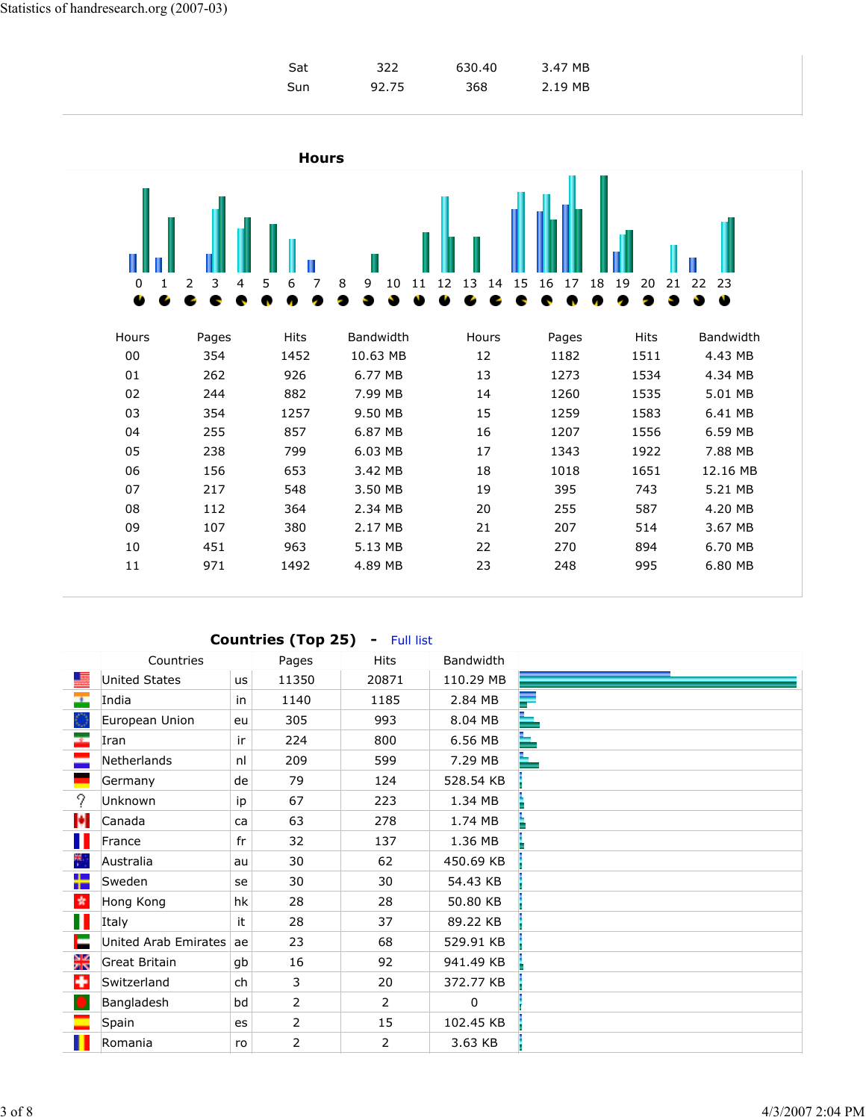|                           |             | Sat          | 322                    | 630.40               | 3.47 MB        |                |               |
|---------------------------|-------------|--------------|------------------------|----------------------|----------------|----------------|---------------|
|                           |             | Sun          | 92.75                  | 368                  | 2.19 MB        |                |               |
|                           |             |              |                        |                      |                |                |               |
|                           |             |              |                        |                      |                |                |               |
|                           |             | <b>Hours</b> |                        |                      |                |                |               |
| $\pmb{0}$<br>$\mathbf{1}$ | 3<br>4<br>2 | 5<br>7<br>6  | 8<br>$10\,$<br>11<br>9 | 13<br>15<br>12<br>14 | 18<br>16<br>17 | 19<br>20<br>21 | 23<br>22<br>O |
| Hours                     | Pages       | Hits         | Bandwidth              | Hours                | Pages          | Hits           | Bandwidth     |
| $00\,$                    | 354         | 1452         | 10.63 MB               | 12                   | 1182           | 1511           | 4.43 MB       |
| 01                        | 262         | 926          | 6.77 MB                | 13                   | 1273           | 1534           | 4.34 MB       |
| 02                        | 244         | 882          | 7.99 MB                | 14                   | 1260           | 1535           | 5.01 MB       |
| 03                        | 354         | 1257         | 9.50 MB                | 15                   | 1259           | 1583           | 6.41 MB       |
| 04                        | 255         | 857          | 6.87 MB                | 16                   | 1207           | 1556           | 6.59 MB       |
| 05                        | 238         | 799          | 6.03 MB                | 17                   | 1343           | 1922           | 7.88 MB       |
| 06                        | 156         | 653          | 3.42 MB                | 18                   | 1018           | 1651           | 12.16 MB      |
| 07                        | 217         | 548          | 3.50 MB                | 19                   | 395            | 743            | 5.21 MB       |
| 08                        | 112         | 364          | 2.34 MB                | 20                   | 255            | 587            | 4.20 MB       |
| 09                        | 107         | 380          | 2.17 MB                | 21                   | 207            | 514            | 3.67 MB       |
| $10\,$                    | 451         | 963          | 5.13 MB                | 22                   | 270            | 894            | 6.70 MB       |
| $11\,$                    | 971         | 1492         | 4.89 MB                | 23                   | 248            | 995            | 6.80 MB       |
|                           |             |              |                        |                      |                |                |               |

# **Countries (Top 25) -** Full list

|    | Countries               |           | Pages | <b>Hits</b>    | Bandwidth |
|----|-------------------------|-----------|-------|----------------|-----------|
|    | <b>United States</b>    | <b>us</b> | 11350 | 20871          | 110.29 MB |
| ×. | India                   | in        | 1140  | 1185           | 2.84 MB   |
|    | European Union          | eu        | 305   | 993            | 8.04 MB   |
| ×. | Iran                    | ir.       | 224   | 800            | 6.56 MB   |
|    | Netherlands             | nl        | 209   | 599            | 7.29 MB   |
|    | Germany                 | de        | 79    | 124            | 528.54 KB |
| 9  | Unknown                 | ip        | 67    | 223            | 1.34 MB   |
| м  | Canada                  | ca        | 63    | 278            | 1.74 MB   |
| Ш  | France                  | fr        | 32    | 137            | 1.36 MB   |
| 帶  | Australia               | au        | 30    | 62             | 450.69 KB |
| ┿  | Sweden                  | se        | 30    | 30             | 54.43 KB  |
| 幸  | Hong Kong               | hk        | 28    | 28             | 50.80 KB  |
| Ш  | Italy                   | it        | 28    | 37             | 89.22 KB  |
|    | United Arab Emirates ae |           | 23    | 68             | 529.91 KB |
| 꽃  | <b>Great Britain</b>    | gb        | 16    | 92             | 941.49 KB |
| ٠  | Switzerland             | ch        | 3     | 20             | 372.77 KB |
|    | Bangladesh              | bd        | 2     | $\overline{2}$ | 0         |
|    | Spain                   | es        | 2     | 15             | 102.45 KB |
|    | Romania                 | ro        | 2     | 2              | 3.63 KB   |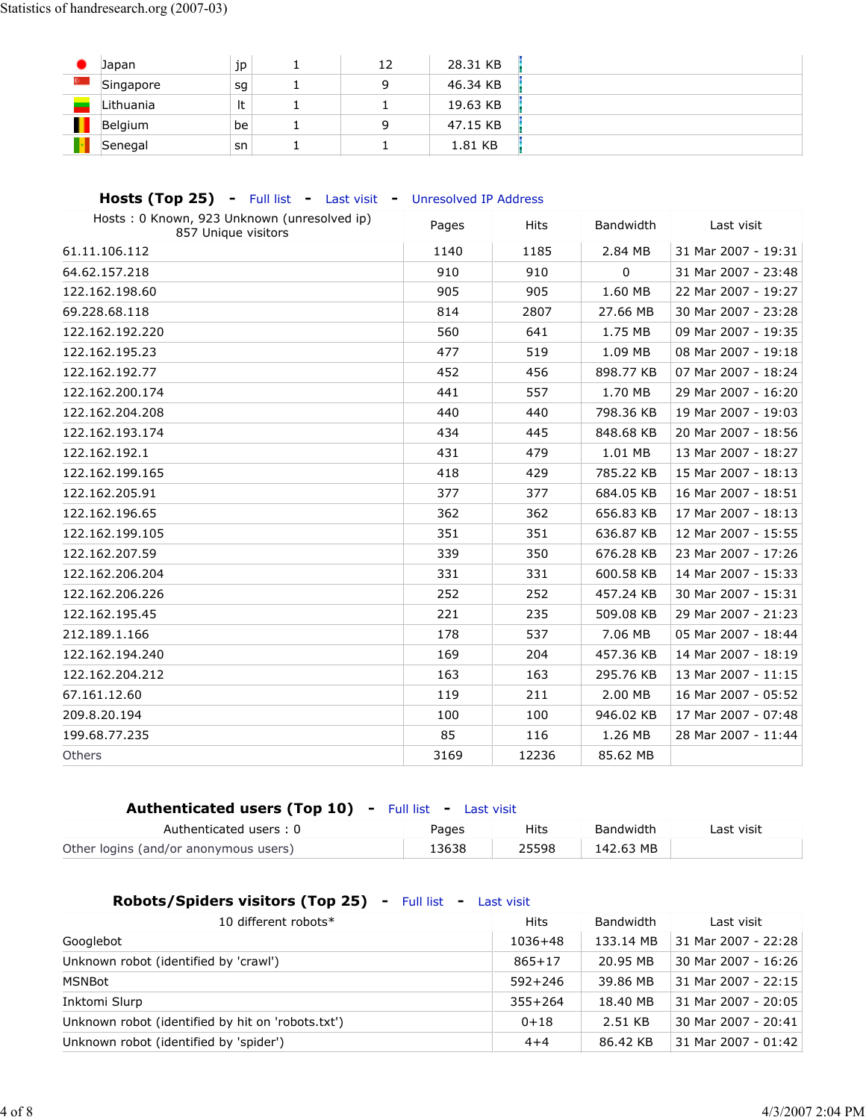| Japan     | jp |          | 12 | 28.31 KB |  |
|-----------|----|----------|----|----------|--|
| Singapore | sg | <b>.</b> | 9  | 46.34 KB |  |
| Lithuania | It |          |    | 19.63 KB |  |
| Belgium   | be |          | 9  | 47.15 KB |  |
| Senegal   | sn |          |    | 1.81 KB  |  |

### **Hosts (Top 25)** - Full list - Last visit - Unresolved IP Address

| Hosts: 0 Known, 923 Unknown (unresolved ip)<br>857 Unique visitors | Pages | Hits  | Bandwidth | Last visit          |
|--------------------------------------------------------------------|-------|-------|-----------|---------------------|
| 61.11.106.112                                                      | 1140  | 1185  | 2.84 MB   | 31 Mar 2007 - 19:31 |
| 64.62.157.218                                                      | 910   | 910   | $\Omega$  | 31 Mar 2007 - 23:48 |
| 122.162.198.60                                                     | 905   | 905   | 1.60 MB   | 22 Mar 2007 - 19:27 |
| 69.228.68.118                                                      | 814   | 2807  | 27.66 MB  | 30 Mar 2007 - 23:28 |
| 122.162.192.220                                                    | 560   | 641   | 1.75 MB   | 09 Mar 2007 - 19:35 |
| 122.162.195.23                                                     | 477   | 519   | 1.09 MB   | 08 Mar 2007 - 19:18 |
| 122.162.192.77                                                     | 452   | 456   | 898.77 KB | 07 Mar 2007 - 18:24 |
| 122.162.200.174                                                    | 441   | 557   | 1.70 MB   | 29 Mar 2007 - 16:20 |
| 122.162.204.208                                                    | 440   | 440   | 798.36 KB | 19 Mar 2007 - 19:03 |
| 122.162.193.174                                                    | 434   | 445   | 848.68 KB | 20 Mar 2007 - 18:56 |
| 122.162.192.1                                                      | 431   | 479   | 1.01 MB   | 13 Mar 2007 - 18:27 |
| 122.162.199.165                                                    | 418   | 429   | 785.22 KB | 15 Mar 2007 - 18:13 |
| 122.162.205.91                                                     | 377   | 377   | 684.05 KB | 16 Mar 2007 - 18:51 |
| 122.162.196.65                                                     | 362   | 362   | 656.83 KB | 17 Mar 2007 - 18:13 |
| 122.162.199.105                                                    | 351   | 351   | 636.87 KB | 12 Mar 2007 - 15:55 |
| 122.162.207.59                                                     | 339   | 350   | 676.28 KB | 23 Mar 2007 - 17:26 |
| 122.162.206.204                                                    | 331   | 331   | 600.58 KB | 14 Mar 2007 - 15:33 |
| 122.162.206.226                                                    | 252   | 252   | 457.24 KB | 30 Mar 2007 - 15:31 |
| 122.162.195.45                                                     | 221   | 235   | 509.08 KB | 29 Mar 2007 - 21:23 |
| 212.189.1.166                                                      | 178   | 537   | 7.06 MB   | 05 Mar 2007 - 18:44 |
| 122.162.194.240                                                    | 169   | 204   | 457.36 KB | 14 Mar 2007 - 18:19 |
| 122.162.204.212                                                    | 163   | 163   | 295.76 KB | 13 Mar 2007 - 11:15 |
| 67.161.12.60                                                       | 119   | 211   | 2.00 MB   | 16 Mar 2007 - 05:52 |
| 209.8.20.194                                                       | 100   | 100   | 946.02 KB | 17 Mar 2007 - 07:48 |
| 199.68.77.235                                                      | 85    | 116   | 1.26 MB   | 28 Mar 2007 - 11:44 |
| Others                                                             | 3169  | 12236 | 85.62 MB  |                     |

## Authenticated users (Top 10) - Full list - Last visit

| Authenticated users: 0                | Pages | Hits  | Bandwidth | Last visit |
|---------------------------------------|-------|-------|-----------|------------|
| Other logins (and/or anonymous users) | 13638 | 25598 | 142.63 MB |            |

# **Robots/Spiders visitors (Top 25) -** Full list **-** Last visit

| 10 different robots*                              | <b>Hits</b> | Bandwidth | Last visit          |
|---------------------------------------------------|-------------|-----------|---------------------|
| Googlebot                                         | $1036 + 48$ | 133.14 MB | 31 Mar 2007 - 22:28 |
| Unknown robot (identified by 'crawl')             | $865 + 17$  | 20.95 MB  | 30 Mar 2007 - 16:26 |
| MSNBot                                            | $592 + 246$ | 39.86 MB  | 31 Mar 2007 - 22:15 |
| Inktomi Slurp                                     | $355 + 264$ | 18.40 MB  | 31 Mar 2007 - 20:05 |
| Unknown robot (identified by hit on 'robots.txt') | $0 + 18$    | 2.51 KB   | 30 Mar 2007 - 20:41 |
| Unknown robot (identified by 'spider')            | $4 + 4$     | 86.42 KB  | 31 Mar 2007 - 01:42 |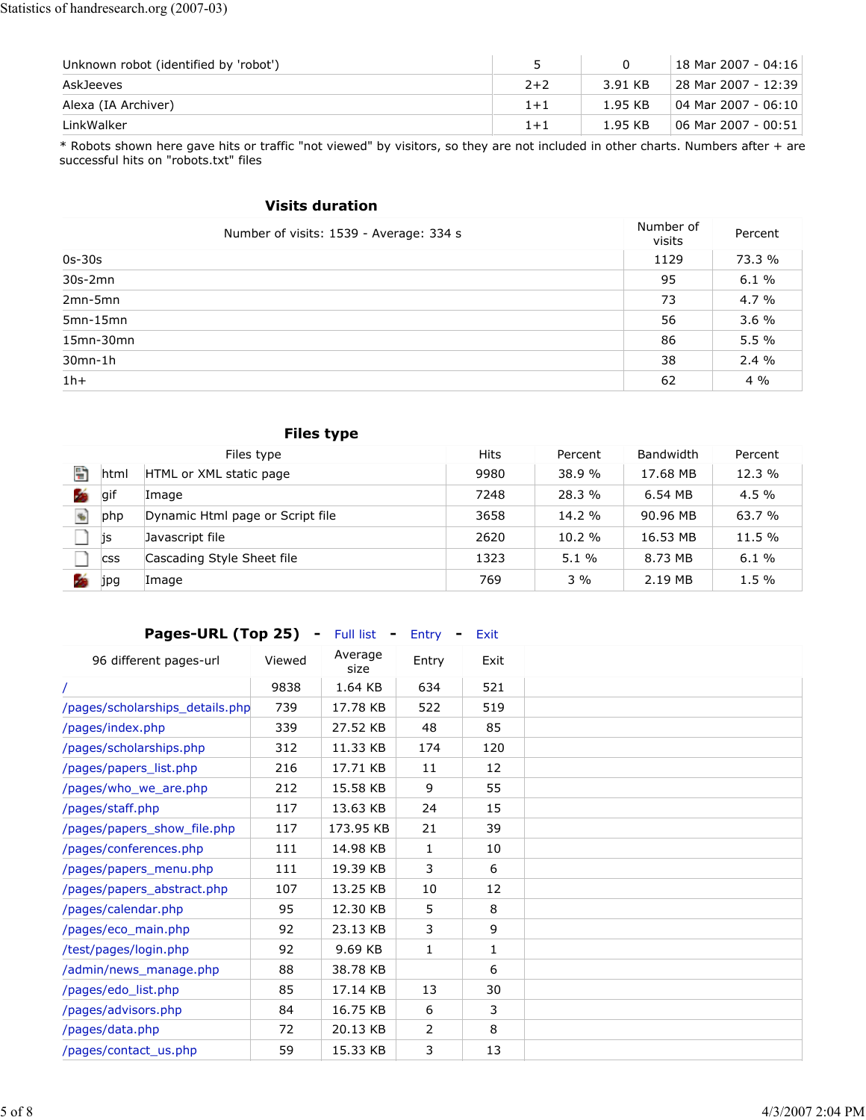| Unknown robot (identified by 'robot') |         |         | $\mid$ 18 Mar 2007 - 04:16 $\mid$ |
|---------------------------------------|---------|---------|-----------------------------------|
| AskJeeves                             | $2+2$   | 3.91 KB | 28 Mar 2007 - 12:39               |
| Alexa (IA Archiver)                   | $1 + 1$ | 1.95 KB | 04 Mar 2007 - 06:10               |
| <b>LinkWalker</b>                     | $1 + 1$ | 1.95 KB | 06 Mar 2007 - 00:51               |

\* Robots shown here gave hits or traffic "not viewed" by visitors, so they are not included in other charts. Numbers after + are successful hits on "robots.txt" files

#### **Visits duration**

| Number of visits: 1539 - Average: 334 s | Number of<br>visits | Percent |
|-----------------------------------------|---------------------|---------|
| $0s-30s$                                | 1129                | 73.3 %  |
| $30s-2mn$                               | 95                  | 6.1%    |
| 2mn-5mn                                 | 73                  | 4.7%    |
| $5mn-15mn$                              | 56                  | 3.6%    |
| $15$ mn- $30$ mn                        | 86                  | 5.5%    |
| $30mn-1h$                               | 38                  | 2.4%    |
| $1h+$                                   | 62                  | $4\%$   |

### **Files type**

|    |            | Files type                       | <b>Hits</b> | Percent   | <b>Bandwidth</b> | Percent |
|----|------------|----------------------------------|-------------|-----------|------------------|---------|
| 뽭  | html       | HTML or XML static page          | 9980        | 38.9%     | 17.68 MB         | 12.3 %  |
|    | gif        | Image                            | 7248        | 28.3 %    | 6.54 MB          | $4.5\%$ |
| 4) | php        | Dynamic Html page or Script file | 3658        | 14.2 %    | 90.96 MB         | 63.7 %  |
|    | įs         | Javascript file                  | 2620        | $10.2 \%$ | 16.53 MB         | 11.5 %  |
|    | <b>CSS</b> | Cascading Style Sheet file       | 1323        | $5.1 \%$  | 8.73 MB          | 6.1%    |
|    | jpg        | Image                            | 769         | $3\%$     | 2.19 MB          | 1.5 %   |

| <b>Pages-URL (Top 25) - Full list - Entry - Exit</b> |  |  |  |  |  |  |
|------------------------------------------------------|--|--|--|--|--|--|
|------------------------------------------------------|--|--|--|--|--|--|

| 96 different pages-url          | Viewed | Average<br>size | Entry        | Exit |
|---------------------------------|--------|-----------------|--------------|------|
|                                 | 9838   | 1.64 KB         | 634          | 521  |
| /pages/scholarships_details.php | 739    | 17.78 KB        | 522          | 519  |
| /pages/index.php                | 339    | 27.52 KB        | 48           | 85   |
| /pages/scholarships.php         | 312    | 11.33 KB        | 174          | 120  |
| /pages/papers_list.php          | 216    | 17.71 KB        | 11           | 12   |
| /pages/who_we_are.php           | 212    | 15.58 KB        | 9            | 55   |
| /pages/staff.php                | 117    | 13.63 KB        | 24           | 15   |
| /pages/papers_show_file.php     | 117    | 173.95 KB       | 21           | 39   |
| /pages/conferences.php          | 111    | 14.98 KB        | $\mathbf{1}$ | 10   |
| /pages/papers_menu.php          | 111    | 19.39 KB        | 3            | 6    |
| /pages/papers_abstract.php      | 107    | 13.25 KB        | 10           | 12   |
| /pages/calendar.php             | 95     | 12.30 KB        | 5            | 8    |
| /pages/eco_main.php             | 92     | 23.13 KB        | 3            | 9    |
| /test/pages/login.php           | 92     | 9.69 KB         | $\mathbf{1}$ | 1    |
| /admin/news_manage.php          | 88     | 38.78 KB        |              | 6    |
| /pages/edo_list.php             | 85     | 17.14 KB        | 13           | 30   |
| /pages/advisors.php             | 84     | 16.75 KB        | 6            | 3    |
| /pages/data.php                 | 72     | 20.13 KB        | 2            | 8    |
| /pages/contact us.php           | 59     | 15.33 KB        | 3            | 13   |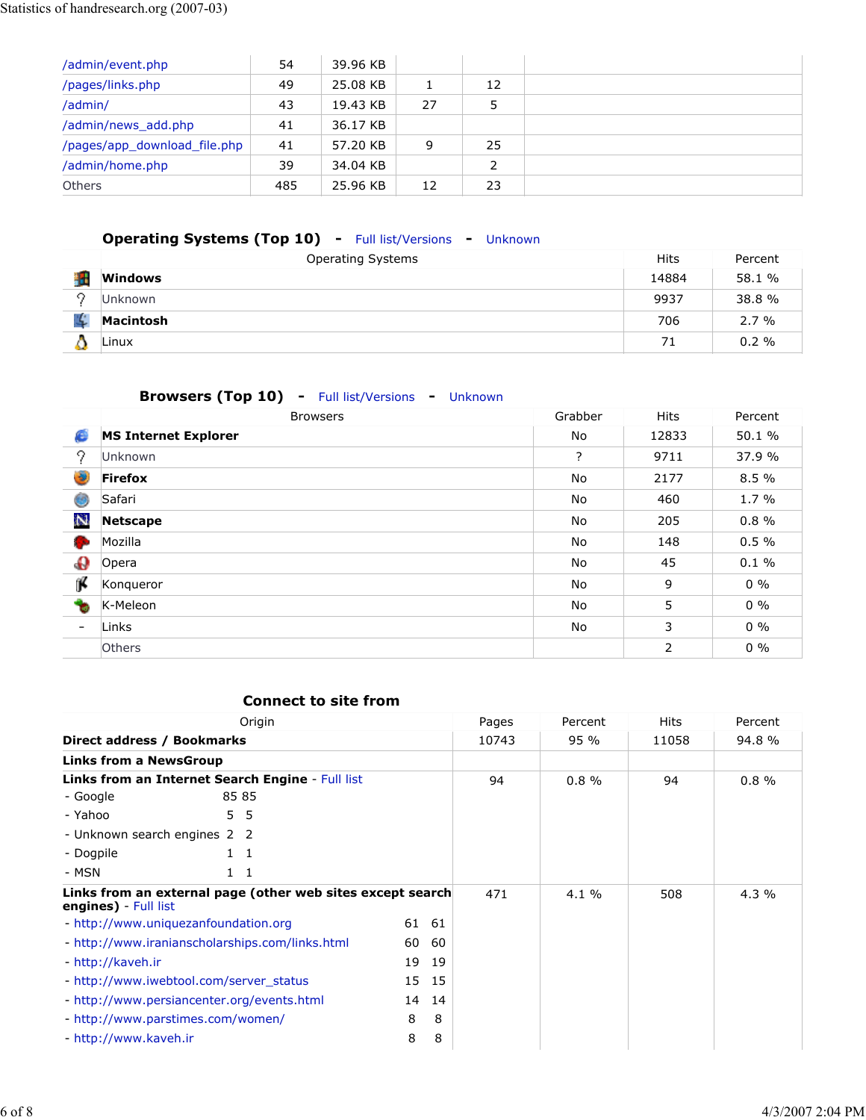| /admin/event.php             | 54  | 39.96 KB |    |    |
|------------------------------|-----|----------|----|----|
| /pages/links.php             | 49  | 25.08 KB |    | 12 |
| /admin/                      | 43  | 19.43 KB | 27 | 5  |
| /admin/news_add.php          | 41  | 36.17 KB |    |    |
| /pages/app_download_file.php | 41  | 57.20 KB | 9  | 25 |
| /admin/home.php              | 39  | 34.04 KB |    | 2  |
| <b>Others</b>                | 485 | 25.96 KB | 12 | 23 |

# **Operating Systems (Top 10) -** Full list/Versions **-** Unknown

|         | <b>Operating Systems</b> | Hits  | Percent  |
|---------|--------------------------|-------|----------|
|         | <b>Windows</b>           | 14884 | 58.1 %   |
| $\circ$ | Unknown                  | 9937  | 38.8%    |
|         | Macintosh                | 706   | 2.7%     |
|         | Linux                    | 71    | $0.2 \%$ |

## **Browsers (Top 10) -** Full list/Versions **-** Unknown

|                          | <b>Browsers</b>             | Grabber   | <b>Hits</b> | Percent |
|--------------------------|-----------------------------|-----------|-------------|---------|
| b                        | <b>MS Internet Explorer</b> | No        | 12833       | 50.1 %  |
| 9                        | Unknown                     | 2         | 9711        | 37.9 %  |
| Đ                        | <b>Firefox</b>              | No        | 2177        | 8.5 %   |
| G                        | Safari                      | No        | 460         | 1.7%    |
| N                        | <b>Netscape</b>             | No        | 205         | 0.8%    |
|                          | Mozilla                     | <b>No</b> | 148         | 0.5%    |
| $\bf \bm \theta$         | Opera                       | No        | 45          | 0.1%    |
| ĵΚ                       | Konqueror                   | No        | 9           | $0\%$   |
|                          | K-Meleon                    | No        | 5           | $0\%$   |
| $\overline{\phantom{0}}$ | Links                       | No        | 3           | $0\%$   |
|                          | <b>Others</b>               |           | 2           | $0\%$   |

#### **Connect to site from**

| Origin                                                                             |       |     | Pages | Percent | <b>Hits</b> | Percent |
|------------------------------------------------------------------------------------|-------|-----|-------|---------|-------------|---------|
| Direct address / Bookmarks                                                         | 10743 | 95% | 11058 | 94.8%   |             |         |
| Links from a NewsGroup                                                             |       |     |       |         |             |         |
| Links from an Internet Search Engine - Full list                                   |       |     | 94    | 0.8%    | 94          | 0.8%    |
| - Google<br>85 85                                                                  |       |     |       |         |             |         |
| - Yahoo<br>5.<br>-5                                                                |       |     |       |         |             |         |
| - Unknown search engines 2 2                                                       |       |     |       |         |             |         |
| - Dogpile<br>$1\quad1$                                                             |       |     |       |         |             |         |
| - MSN<br>$1\quad1$                                                                 |       |     |       |         |             |         |
| Links from an external page (other web sites except search<br>engines) - Full list |       |     | 471   | 4.1%    | 508         | 4.3 %   |
| - http://www.uniquezanfoundation.org                                               | 61    | 61  |       |         |             |         |
| - http://www.iranianscholarships.com/links.html                                    | 60    | 60  |       |         |             |         |
| - http://kaveh.ir<br>19<br>19                                                      |       |     |       |         |             |         |
| - http://www.iwebtool.com/server_status<br>15<br>-15                               |       |     |       |         |             |         |
| - http://www.persiancenter.org/events.html                                         | 14    | 14  |       |         |             |         |
| 8<br>- http://www.parstimes.com/women/<br>8                                        |       |     |       |         |             |         |
| - http://www.kaveh.ir                                                              | 8     | 8   |       |         |             |         |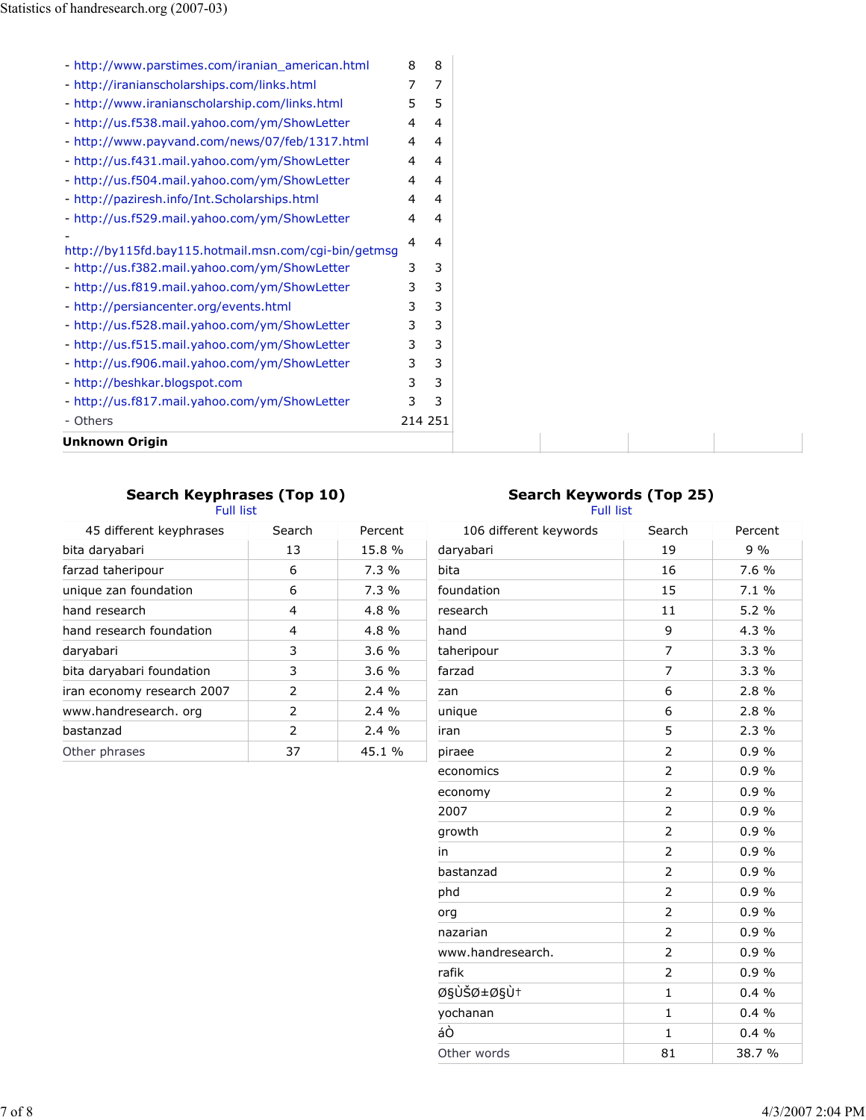| - http://www.parstimes.com/iranian_american.html     | 8 | 8       |
|------------------------------------------------------|---|---------|
| - http://iranianscholarships.com/links.html          | 7 | 7       |
| - http://www.iranianscholarship.com/links.html       | 5 | 5       |
| - http://us.f538.mail.yahoo.com/ym/ShowLetter        | 4 | 4       |
| - http://www.payvand.com/news/07/feb/1317.html       | 4 | 4       |
| - http://us.f431.mail.yahoo.com/ym/ShowLetter        | 4 | 4       |
| - http://us.f504.mail.yahoo.com/ym/ShowLetter        | 4 | 4       |
| - http://paziresh.info/Int.Scholarships.html         | 4 | 4       |
| - http://us.f529.mail.yahoo.com/ym/ShowLetter        | 4 | 4       |
| http://by115fd.bay115.hotmail.msn.com/cgi-bin/getmsg | 4 | 4       |
| - http://us.f382.mail.yahoo.com/ym/ShowLetter        | 3 | 3       |
| - http://us.f819.mail.yahoo.com/ym/ShowLetter        | 3 | 3       |
| - http://persiancenter.org/events.html               | 3 | 3       |
| - http://us.f528.mail.yahoo.com/ym/ShowLetter        | 3 | 3       |
| - http://us.f515.mail.yahoo.com/ym/ShowLetter        | 3 | 3       |
| - http://us.f906.mail.yahoo.com/ym/ShowLetter        | 3 | 3       |
| - http://beshkar.blogspot.com                        | 3 | 3       |
| - http://us.f817.mail.yahoo.com/ym/ShowLetter        | 3 | 3       |
| - Others                                             |   | 214 251 |
| <b>Unknown Origin</b>                                |   |         |

# **Search Keyphrases (Top 10)**

Full list

| 45 different keyphrases    | Search        | Percent |
|----------------------------|---------------|---------|
| bita daryabari             | 13            | 15.8 %  |
| farzad taheripour          | 6             | $7.3\%$ |
| unique zan foundation      | 6             | $7.3\%$ |
| hand research              | 4             | 4.8 $%$ |
| hand research foundation   | 4             | 4.8 $%$ |
| daryabari                  | 3             | 3.6%    |
| bita daryabari foundation  | 3             | 3.6%    |
| iran economy research 2007 | $\mathcal{P}$ | $2.4\%$ |
| www.handresearch.org       | $\mathcal{P}$ | $2.4\%$ |
| bastanzad                  | $\mathcal{P}$ | $2.4\%$ |
| Other phrases              | 37            | 45.1%   |

| 106 different keywords | Search         | Percent |
|------------------------|----------------|---------|
| daryabari              | 19             | $9\%$   |
| bita                   | 16             | 7.6%    |
| foundation             | 15             | 7.1%    |
| research               | 11             | 5.2%    |
| hand                   | 9              | $4.3\%$ |
| taheripour             | $\overline{7}$ | 3.3%    |
| farzad                 | 7              | 3.3%    |
| zan                    | 6              | 2.8 %   |
| unique                 | 6              | 2.8%    |
| iran                   | 5              | 2.3%    |
| piraee                 | $\overline{2}$ | 0.9%    |
| economics              | 2              | 0.9%    |
| economy                | $\overline{2}$ | 0.9%    |
| 2007                   | $\overline{2}$ | 0.9%    |
| growth                 | $\overline{2}$ | 0.9%    |
| in                     | 2              | 0.9%    |
| bastanzad              | $\overline{2}$ | 0.9%    |
| phd                    | $\overline{2}$ | 0.9%    |
| org                    | $\overline{2}$ | 0.9%    |
| nazarian               | $\overline{2}$ | 0.9%    |
| www.handresearch.      | $\overline{2}$ | 0.9%    |
| rafik                  | $\overline{2}$ | 0.9%    |
| ايران                  | $\mathbf{1}$   | $0.4\%$ |
| yochanan               | $\mathbf{1}$   | $0.4\%$ |

áÒ 1 0.4 % Other words 81 81 38.7 %